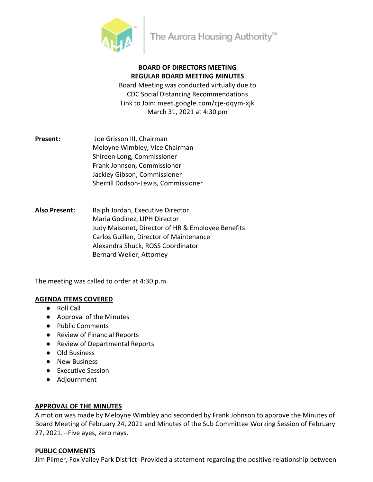

# **BOARD OF DIRECTORS MEETING REGULAR BOARD MEETING MINUTES**

Board Meeting was conducted virtually due to CDC Social Distancing Recommendations Link to Join: meet.google.com/cje-qqym-xjk March 31, 2021 at 4:30 pm

- **Present:** Joe Grisson III, Chairman Meloyne Wimbley, Vice Chairman Shireen Long, Commissioner Frank Johnson, Commissioner Jackiey Gibson, Commissioner Sherrill Dodson-Lewis, Commissioner
- **Also Present:** Ralph Jordan, Executive Director Maria Godinez, LIPH Director Judy Maisonet, Director of HR & Employee Benefits Carlos Guillen, Director of Maintenance Alexandra Shuck, ROSS Coordinator Bernard Weiler, Attorney

The meeting was called to order at 4:30 p.m.

#### **AGENDA ITEMS COVERED**

- Roll Call
- Approval of the Minutes
- Public Comments
- Review of Financial Reports
- Review of Departmental Reports
- Old Business
- New Business
- Executive Session
- Adjournment

## **APPROVAL OF THE MINUTES**

A motion was made by Meloyne Wimbley and seconded by Frank Johnson to approve the Minutes of Board Meeting of February 24, 2021 and Minutes of the Sub Committee Working Session of February 27, 2021. –Five ayes, zero nays.

#### **PUBLIC COMMENTS**

Jim Pilmer, Fox Valley Park District- Provided a statement regarding the positive relationship between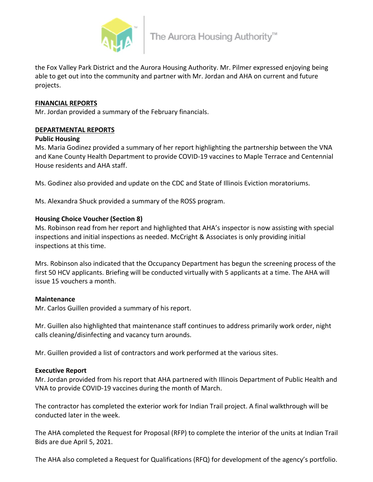

the Fox Valley Park District and the Aurora Housing Authority. Mr. Pilmer expressed enjoying being able to get out into the community and partner with Mr. Jordan and AHA on current and future projects.

## **FINANCIAL REPORTS**

Mr. Jordan provided a summary of the February financials.

## **DEPARTMENTAL REPORTS**

#### **Public Housing**

Ms. Maria Godinez provided a summary of her report highlighting the partnership between the VNA and Kane County Health Department to provide COVID-19 vaccines to Maple Terrace and Centennial House residents and AHA staff.

Ms. Godinez also provided and update on the CDC and State of Illinois Eviction moratoriums.

Ms. Alexandra Shuck provided a summary of the ROSS program.

## **Housing Choice Voucher (Section 8)**

Ms. Robinson read from her report and highlighted that AHA's inspector is now assisting with special inspections and initial inspections as needed. McCright & Associates is only providing initial inspections at this time.

Mrs. Robinson also indicated that the Occupancy Department has begun the screening process of the first 50 HCV applicants. Briefing will be conducted virtually with 5 applicants at a time. The AHA will issue 15 vouchers a month.

#### **Maintenance**

Mr. Carlos Guillen provided a summary of his report.

Mr. Guillen also highlighted that maintenance staff continues to address primarily work order, night calls cleaning/disinfecting and vacancy turn arounds.

Mr. Guillen provided a list of contractors and work performed at the various sites.

#### **Executive Report**

Mr. Jordan provided from his report that AHA partnered with Illinois Department of Public Health and VNA to provide COVID-19 vaccines during the month of March.

The contractor has completed the exterior work for Indian Trail project. A final walkthrough will be conducted later in the week.

The AHA completed the Request for Proposal (RFP) to complete the interior of the units at Indian Trail Bids are due April 5, 2021.

The AHA also completed a Request for Qualifications (RFQ) for development of the agency's portfolio.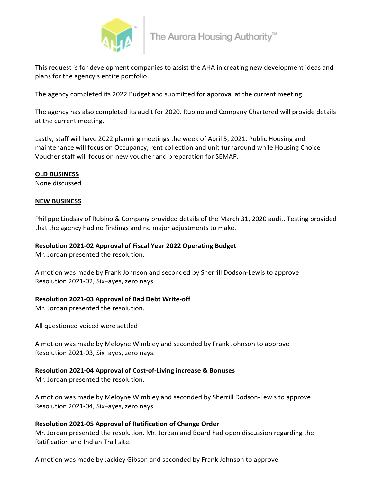

This request is for development companies to assist the AHA in creating new development ideas and plans for the agency's entire portfolio.

The agency completed its 2022 Budget and submitted for approval at the current meeting.

The agency has also completed its audit for 2020. Rubino and Company Chartered will provide details at the current meeting.

Lastly, staff will have 2022 planning meetings the week of April 5, 2021. Public Housing and maintenance will focus on Occupancy, rent collection and unit turnaround while Housing Choice Voucher staff will focus on new voucher and preparation for SEMAP.

#### **OLD BUSINESS**

None discussed

#### **NEW BUSINESS**

Philippe Lindsay of Rubino & Company provided details of the March 31, 2020 audit. Testing provided that the agency had no findings and no major adjustments to make.

#### **Resolution 2021-02 Approval of Fiscal Year 2022 Operating Budget**

Mr. Jordan presented the resolution.

A motion was made by Frank Johnson and seconded by Sherrill Dodson-Lewis to approve Resolution 2021-02, Six–ayes, zero nays.

#### **Resolution 2021-03 Approval of Bad Debt Write-off**

Mr. Jordan presented the resolution.

All questioned voiced were settled

A motion was made by Meloyne Wimbley and seconded by Frank Johnson to approve Resolution 2021-03, Six–ayes, zero nays.

#### **Resolution 2021-04 Approval of Cost-of-Living increase & Bonuses**

Mr. Jordan presented the resolution.

A motion was made by Meloyne Wimbley and seconded by Sherrill Dodson-Lewis to approve Resolution 2021-04, Six–ayes, zero nays.

#### **Resolution 2021-05 Approval of Ratification of Change Order**

Mr. Jordan presented the resolution. Mr. Jordan and Board had open discussion regarding the Ratification and Indian Trail site.

A motion was made by Jackiey Gibson and seconded by Frank Johnson to approve